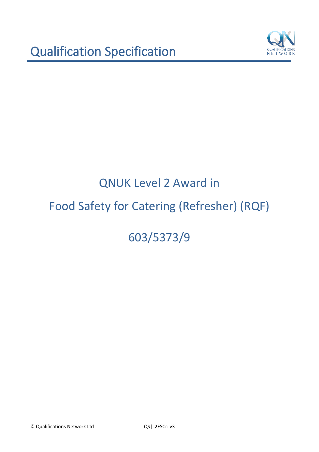

603/5373/9

© Qualifications Network Ltd QS|L2FSCr: v3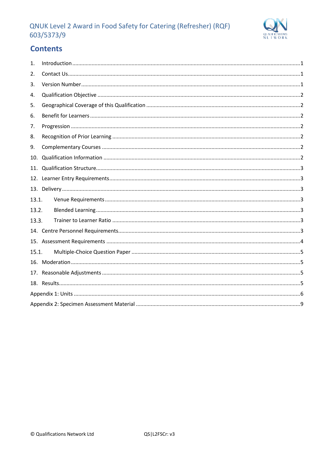

# **Contents**

| 1.    |  |
|-------|--|
| 2.    |  |
| 3.    |  |
| 4.    |  |
| 5.    |  |
| 6.    |  |
| 7.    |  |
| 8.    |  |
| 9.    |  |
| 10.   |  |
| 11.   |  |
| 12.   |  |
|       |  |
| 13.1. |  |
| 13.2. |  |
| 13.3. |  |
|       |  |
|       |  |
| 15.1. |  |
|       |  |
|       |  |
|       |  |
|       |  |
|       |  |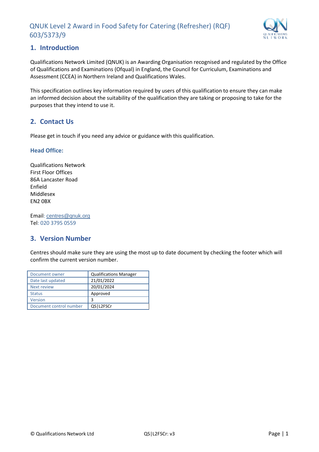

# <span id="page-2-0"></span>**1. Introduction**

Qualifications Network Limited (QNUK) is an Awarding Organisation recognised and regulated by the Office of Qualifications and Examinations (Ofqual) in England, the Council for Curriculum, Examinations and Assessment (CCEA) in Northern Ireland and Qualifications Wales.

This specification outlines key information required by users of this qualification to ensure they can make an informed decision about the suitability of the qualification they are taking or proposing to take for the purposes that they intend to use it.

# <span id="page-2-1"></span>**2. Contact Us**

Please get in touch if you need any advice or guidance with this qualification.

#### **Head Office:**

Qualifications Network First Floor Offices 86A Lancaster Road Enfield Middlesex EN2 0BX

Email: [centres@qnuk.org](mailto:CentreSupport@Qualifications-Network.co.uk) Tel: 020 3795 0559

# <span id="page-2-2"></span>**3. Version Number**

Centres should make sure they are using the most up to date document by checking the footer which will confirm the current version number.

| Document owner          | <b>Qualifications Manager</b> |
|-------------------------|-------------------------------|
| Date last updated       | 21/01/2022                    |
| <b>Next review</b>      | 20/01/2024                    |
| <b>Status</b>           | Approved                      |
| Version                 | 3                             |
| Document control number | QS1L2FSCr                     |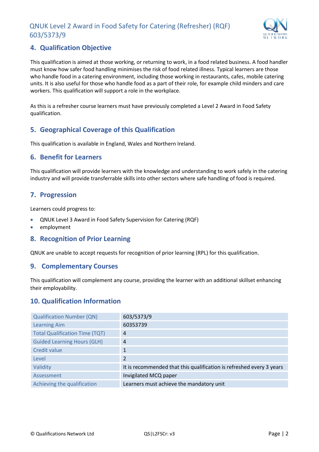

# <span id="page-3-0"></span>**4. Qualification Objective**

This qualification is aimed at those working, or returning to work, in a food related business. A food handler must know how safer food handling minimises the risk of food related illness. Typical learners are those who handle food in a catering environment, including those working in restaurants, cafes, mobile catering units. It is also useful for those who handle food as a part of their role, for example child minders and care workers. This qualification will support a role in the workplace.

As this is a refresher course learners must have previously completed a Level 2 Award in Food Safety qualification.

# <span id="page-3-1"></span>**5. Geographical Coverage of this Qualification**

This qualification is available in England, Wales and Northern Ireland.

## <span id="page-3-2"></span>**6. Benefit for Learners**

This qualification will provide learners with the knowledge and understanding to work safely in the catering industry and will provide transferrable skills into other sectors where safe handling of food is required.

# <span id="page-3-3"></span>**7. Progression**

Learners could progress to:

- QNUK Level 3 Award in Food Safety Supervision for Catering (RQF)
- employment

## <span id="page-3-4"></span>**8. Recognition of Prior Learning**

QNUK are unable to accept requests for recognition of prior learning (RPL) for this qualification.

#### <span id="page-3-5"></span>**9. Complementary Courses**

This qualification will complement any course, providing the learner with an additional skillset enhancing their employability.

## <span id="page-3-6"></span>**10. Qualification Information**

| <b>Qualification Number (QN)</b>      | 603/5373/9                                                           |
|---------------------------------------|----------------------------------------------------------------------|
| <b>Learning Aim</b>                   | 60353739                                                             |
| <b>Total Qualification Time (TQT)</b> | 4                                                                    |
| <b>Guided Learning Hours (GLH)</b>    | $\overline{a}$                                                       |
| Credit value                          | 1                                                                    |
| Level                                 | $\overline{\mathcal{L}}$                                             |
| Validity                              | It is recommended that this qualification is refreshed every 3 years |
| Assessment                            | Invigilated MCQ paper                                                |
| Achieving the qualification           | Learners must achieve the mandatory unit                             |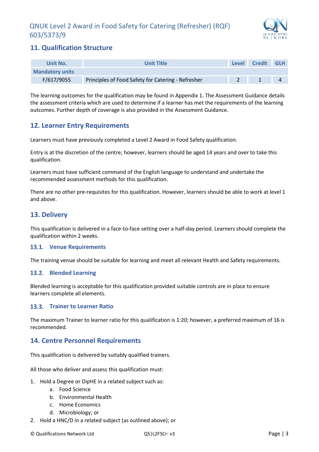

# <span id="page-4-0"></span>**11. Qualification Structure**

| Unit No.               | <b>Unit Title</b>                                  | Level | <b>Credit</b> | <b>GLH</b> |
|------------------------|----------------------------------------------------|-------|---------------|------------|
| <b>Mandatory units</b> |                                                    |       |               |            |
| F/617/9055             | Principles of Food Safety for Catering - Refresher |       |               |            |

The learning outcomes for the qualification may be found in Appendix 1. The Assessment Guidance details the assessment criteria which are used to determine if a learner has met the requirements of the learning outcomes. Further depth of coverage is also provided in the Assessment Guidance.

# <span id="page-4-1"></span>**12. Learner Entry Requirements**

Learners must have previously completed a Level 2 Award in Food Safety qualification.

Entry is at the discretion of the centre; however, learners should be aged 14 years and over to take this qualification.

Learners must have sufficient command of the English language to understand and undertake the recommended assessment methods for this qualification.

There are no other pre-requisites for this qualification. However, learners should be able to work at level 1 and above.

# <span id="page-4-2"></span>**13. Delivery**

This qualification is delivered in a face-to-face setting over a half-day period. Learners should complete the qualification within 2 weeks.

#### <span id="page-4-3"></span>**Venue Requirements**

The training venue should be suitable for learning and meet all relevant Health and Safety requirements.

#### <span id="page-4-4"></span>**Blended Learning**

Blended learning is acceptable for this qualification provided suitable controls are in place to ensure learners complete all elements.

#### <span id="page-4-5"></span>**Trainer to Learner Ratio**

The maximum Trainer to learner ratio for this qualification is 1:20; however, a preferred maximum of 16 is recommended.

# <span id="page-4-6"></span>**14. Centre Personnel Requirements**

This qualification is delivered by suitably qualified trainers.

All those who deliver and assess this qualification must:

- 1. Hold a Degree or DipHE in a related subject such as:
	- a. Food Science
	- b. Environmental Health
	- c. Home Economics
	- d. Microbiology; or
- 2. Hold a HNC/D in a related subject (as outlined above); or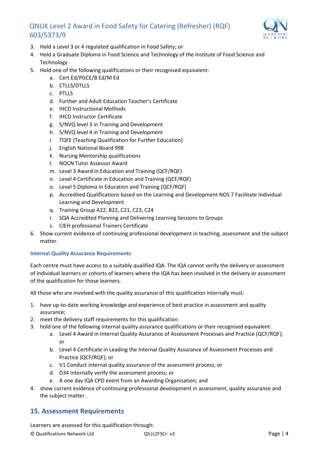

- 3. Hold a Level 3 or 4 regulated qualification in Food Safety; or
- 4. Hold a Graduate Diploma in Food Science and Technology of the Institute of Food Science and Technology
- 5. Hold one of the following qualifications or their recognised equivalent:
	- a. Cert Ed/PGCE/B Ed/M Ed
	- b. CTLLS/DTLLS
	- c. PTLLS
	- d. Further and Adult Education Teacher's Certificate
	- e. IHCD Instructional Methods
	- f. IHCD Instructor Certificate
	- g. S/NVQ level 3 in Training and Development
	- h. S/NVQ level 4 in Training and Development
	- i. TQFE (Teaching Qualification for Further Education)
	- j. English National Board 998
	- k. Nursing Mentorship qualifications
	- l. NOCN Tutor Assessor Award
	- m. Level 3 Award in Education and Training (QCF/RQF)
	- n. Level 4 Certificate in Education and Training (QCF/RQF)
	- o. Level 5 Diploma in Education and Training (QCF/RQF)
	- p. Accredited Qualifications based on the Learning and Development NOS 7 Facilitate Individual Learning and Development
	- q. Training Group A22, B22, C21, C23, C24
	- r. SQA Accredited Planning and Delivering Learning Sessions to Groups
	- s. CIEH professional Trainers Certificate
- 6. Show current evidence of continuing professional development in teaching, assessment and the subject matter.

#### **Internal Quality Assurance Requirements**

Each centre must have access to a suitably qualified IQA. The IQA cannot verify the delivery or assessment of individual learners or cohorts of learners where the IQA has been involved in the delivery or assessment of the qualification for those learners.

All those who are involved with the quality assurance of this qualification internally must:

- 1. have up-to-date working knowledge and experience of best practice in assessment and quality assurance;
- 2. meet the delivery staff requirements for this qualification:
- 3. hold one of the following internal quality assurance qualifications or their recognised equivalent:
	- a. Level 4 Award in Internal Quality Assurance of Assessment Processes and Practice (QCF/RQF); or
	- b. Level 4 Certificate in Leading the Internal Quality Assurance of Assessment Processes and Practice (QCF/RQF); or
	- c. V1 Conduct internal quality assurance of the assessment process; or
	- d. D34 Internally verify the assessment process; or
	- e. A one day IQA CPD event from an Awarding Organisation; and
- 4. show current evidence of continuing professional development in assessment, quality assurance and the subject matter.

# <span id="page-5-0"></span>**15. Assessment Requirements**

Learners are assessed for this qualification through: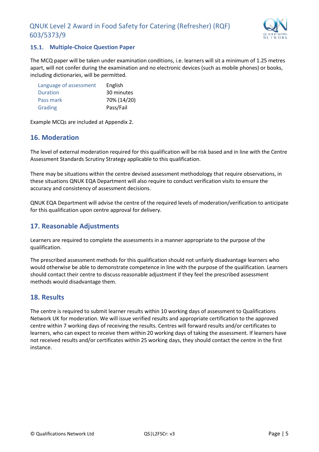

## <span id="page-6-0"></span>**15.1. Multiple-Choice Question Paper**

The MCQ paper will be taken under examination conditions, i.e. learners will sit a minimum of 1.25 metres apart, will not confer during the examination and no electronic devices (such as mobile phones) or books, including dictionaries, will be permitted.

| Language of assessment | English     |
|------------------------|-------------|
| Duration               | 30 minutes  |
| Pass mark              | 70% (14/20) |
| Grading                | Pass/Fail   |

Example MCQs are included at Appendix 2.

#### <span id="page-6-1"></span>**16. Moderation**

The level of external moderation required for this qualification will be risk based and in line with the Centre Assessment Standards Scrutiny Strategy applicable to this qualification.

There may be situations within the centre devised assessment methodology that require observations, in these situations QNUK EQA Department will also require to conduct verification visits to ensure the accuracy and consistency of assessment decisions.

QNUK EQA Department will advise the centre of the required levels of moderation/verification to anticipate for this qualification upon centre approval for delivery.

## <span id="page-6-2"></span>**17. Reasonable Adjustments**

Learners are required to complete the assessments in a manner appropriate to the purpose of the qualification.

The prescribed assessment methods for this qualification should not unfairly disadvantage learners who would otherwise be able to demonstrate competence in line with the purpose of the qualification. Learners should contact their centre to discuss reasonable adjustment if they feel the prescribed assessment methods would disadvantage them.

## <span id="page-6-3"></span>**18. Results**

The centre is required to submit learner results within 10 working days of assessment to Qualifications Network UK for moderation. We will issue verified results and appropriate certification to the approved centre within 7 working days of receiving the results. Centres will forward results and/or certificates to learners, who can expect to receive them within 20 working days of taking the assessment. If learners have not received results and/or certificates within 25 working days, they should contact the centre in the first instance.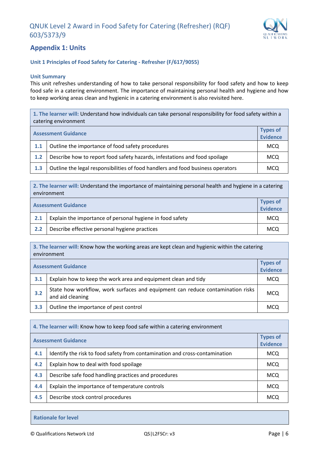

# <span id="page-7-0"></span>**Appendix 1: Units**

#### **Unit 1 Principles of Food Safety for Catering - Refresher (F/617/9055)**

#### **Unit Summary**

This unit refreshes understanding of how to take personal responsibility for food safety and how to keep food safe in a catering environment. The importance of maintaining personal health and hygiene and how to keep working areas clean and hygienic in a catering environment is also revisited here.

**1. The learner will:** Understand how individuals can take personal responsibility for food safety within a catering environment

| <b>Assessment Guidance</b> |                                                                                 | <b>Types of</b><br><b>Evidence</b> |
|----------------------------|---------------------------------------------------------------------------------|------------------------------------|
| 1.1                        | Outline the importance of food safety procedures                                | <b>MCQ</b>                         |
| 1.2                        | Describe how to report food safety hazards, infestations and food spoilage      | MCQ                                |
| 1.3                        | Outline the legal responsibilities of food handlers and food business operators | <b>MCQ</b>                         |

**2. The learner will:** Understand the importance of maintaining personal health and hygiene in a catering environment

|     | <b>Assessment Guidance</b>                                | <b>Types of</b><br><b>Evidence</b> |
|-----|-----------------------------------------------------------|------------------------------------|
| 2.1 | Explain the importance of personal hygiene in food safety | <b>MCQ</b>                         |
| 2.2 | Describe effective personal hygiene practices             | <b>MCQ</b>                         |

**3. The learner will:** Know how the working areas are kept clean and hygienic within the catering environment

| <b>Assessment Guidance</b> |                                                                                                    | <b>Types of</b><br><b>Evidence</b> |
|----------------------------|----------------------------------------------------------------------------------------------------|------------------------------------|
| 3.1                        | Explain how to keep the work area and equipment clean and tidy                                     | <b>MCQ</b>                         |
| 3.2                        | State how workflow, work surfaces and equipment can reduce contamination risks<br>and aid cleaning | <b>MCQ</b>                         |
| 3.3                        | Outline the importance of pest control                                                             | <b>MCQ</b>                         |

| 4. The learner will: Know how to keep food safe within a catering environment |                                                                             |                                    |
|-------------------------------------------------------------------------------|-----------------------------------------------------------------------------|------------------------------------|
|                                                                               | <b>Assessment Guidance</b>                                                  | <b>Types of</b><br><b>Evidence</b> |
| 4.1                                                                           | Identify the risk to food safety from contamination and cross-contamination | <b>MCQ</b>                         |
| 4.2                                                                           | Explain how to deal with food spoilage                                      | <b>MCQ</b>                         |
| 4.3                                                                           | Describe safe food handling practices and procedures                        | <b>MCQ</b>                         |
| 4.4                                                                           | Explain the importance of temperature controls                              | <b>MCQ</b>                         |
| 4.5                                                                           | Describe stock control procedures                                           | <b>MCQ</b>                         |

**Rationale for level**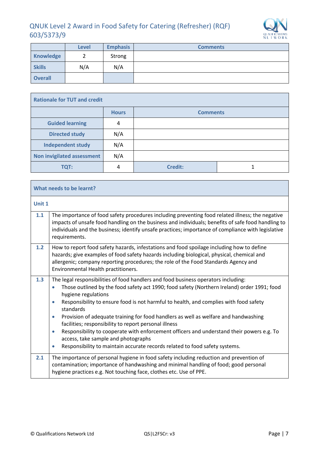

|                | <b>Level</b> | <b>Emphasis</b> | <b>Comments</b> |
|----------------|--------------|-----------------|-----------------|
| Knowledge      |              | Strong          |                 |
| <b>Skills</b>  | N/A          | N/A             |                 |
| <b>Overall</b> |              |                 |                 |

| <b>Rationale for TUT and credit</b> |              |                 |  |  |
|-------------------------------------|--------------|-----------------|--|--|
|                                     | <b>Hours</b> | <b>Comments</b> |  |  |
| <b>Guided learning</b>              | 4            |                 |  |  |
| <b>Directed study</b>               | N/A          |                 |  |  |
| <b>Independent study</b>            | N/A          |                 |  |  |
| <b>Non invigilated assessment</b>   | N/A          |                 |  |  |
| <b>TQT:</b>                         | 4            | <b>Credit:</b>  |  |  |

|        | What needs to be learnt?                                                                                                                                                                                                                                                                                                                                                                                                                                                                                                                                                                                                                                                                                                           |  |  |
|--------|------------------------------------------------------------------------------------------------------------------------------------------------------------------------------------------------------------------------------------------------------------------------------------------------------------------------------------------------------------------------------------------------------------------------------------------------------------------------------------------------------------------------------------------------------------------------------------------------------------------------------------------------------------------------------------------------------------------------------------|--|--|
| Unit 1 |                                                                                                                                                                                                                                                                                                                                                                                                                                                                                                                                                                                                                                                                                                                                    |  |  |
| 1.1    | The importance of food safety procedures including preventing food related illness; the negative<br>impacts of unsafe food handling on the business and individuals; benefits of safe food handling to<br>individuals and the business; identify unsafe practices; importance of compliance with legislative<br>requirements.                                                                                                                                                                                                                                                                                                                                                                                                      |  |  |
| 1.2    | How to report food safety hazards, infestations and food spoilage including how to define<br>hazards; give examples of food safety hazards including biological, physical, chemical and<br>allergenic; company reporting procedures; the role of the Food Standards Agency and<br>Environmental Health practitioners.                                                                                                                                                                                                                                                                                                                                                                                                              |  |  |
| 1.3    | The legal responsibilities of food handlers and food business operators including:<br>Those outlined by the food safety act 1990; food safety (Northern Ireland) order 1991; food<br>٠<br>hygiene regulations<br>Responsibility to ensure food is not harmful to health, and complies with food safety<br>$\bullet$<br>standards<br>Provision of adequate training for food handlers as well as welfare and handwashing<br>$\bullet$<br>facilities; responsibility to report personal illness<br>Responsibility to cooperate with enforcement officers and understand their powers e.g. To<br>$\bullet$<br>access, take sample and photographs<br>Responsibility to maintain accurate records related to food safety systems.<br>٠ |  |  |
| 2.1    | The importance of personal hygiene in food safety including reduction and prevention of<br>contamination; importance of handwashing and minimal handling of food; good personal<br>hygiene practices e.g. Not touching face, clothes etc. Use of PPE.                                                                                                                                                                                                                                                                                                                                                                                                                                                                              |  |  |

 $\mathbb{R}^n$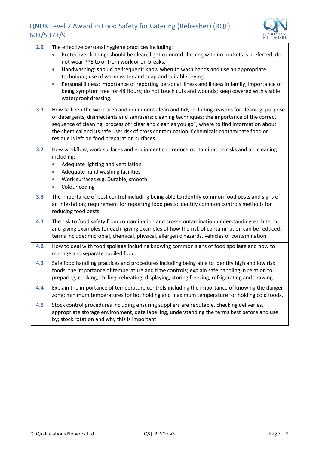

| 2.2 | The effective personal hygiene practices including:<br>Protective clothing: should be clean; light coloured clothing with no pockets is preferred; do<br>not wear PPE to or from work or on breaks.<br>Handwashing: should be frequent; know when to wash hands and use an appropriate<br>$\bullet$<br>technique; use of warm water and soap and suitable drying.<br>Personal illness: importance of reporting personal illness and illness in family; importance of<br>$\bullet$<br>being symptom free for 48 Hours; do not touch cuts and wounds; keep covered with visible<br>waterproof dressing. |
|-----|-------------------------------------------------------------------------------------------------------------------------------------------------------------------------------------------------------------------------------------------------------------------------------------------------------------------------------------------------------------------------------------------------------------------------------------------------------------------------------------------------------------------------------------------------------------------------------------------------------|
| 3.1 | How to keep the work area and equipment clean and tidy including reasons for cleaning; purpose<br>of detergents, disinfectants and sanitisers; cleaning techniques; the importance of the correct<br>sequence of cleaning; process of "clear and clean as you go"; where to find information about<br>the chemical and its safe use; risk of cross contamination if chemicals contaminate food or<br>residue is left on food preparation surfaces.                                                                                                                                                    |
| 3.2 | How workflow, work surfaces and equipment can reduce contamination risks and aid cleaning<br>including:<br>Adequate lighting and ventilation<br>Adequate hand washing facilities<br>Work surfaces e.g. Durable, smooth<br>$\bullet$<br>Colour coding<br>$\bullet$                                                                                                                                                                                                                                                                                                                                     |
| 3.3 | The importance of pest control including being able to identify common food pests and signs of<br>an infestation; requirement for reporting food pests; identify common controls methods for<br>reducing food pests.                                                                                                                                                                                                                                                                                                                                                                                  |
| 4.1 | The risk to food safety from contamination and cross-contamination understanding each term<br>and giving examples for each; giving examples of how the risk of contamination can be reduced;<br>terms include: microbial, chemical, physical, allergenic hazards, vehicles of contamination                                                                                                                                                                                                                                                                                                           |
| 4.2 | How to deal with food spoilage including knowing common signs of food spoilage and how to<br>manage and separate spoiled food.                                                                                                                                                                                                                                                                                                                                                                                                                                                                        |
| 4.3 | Safe food handling practices and procedures including being able to identify high and low risk<br>foods; the importance of temperature and time controls; explain safe handling in relation to<br>preparing, cooking, chilling, reheating, displaying, storing freezing, refrigerating and thawing.                                                                                                                                                                                                                                                                                                   |
| 4.4 | Explain the importance of temperature controls including the importance of knowing the danger<br>zone; minimum temperatures for hot holding and maximum temperature for holding cold foods.                                                                                                                                                                                                                                                                                                                                                                                                           |
| 4.5 | Stock control procedures including ensuring suppliers are reputable, checking deliveries,<br>appropriate storage environment, date labelling, understanding the terms best before and use<br>by; stock rotation and why this is important.                                                                                                                                                                                                                                                                                                                                                            |